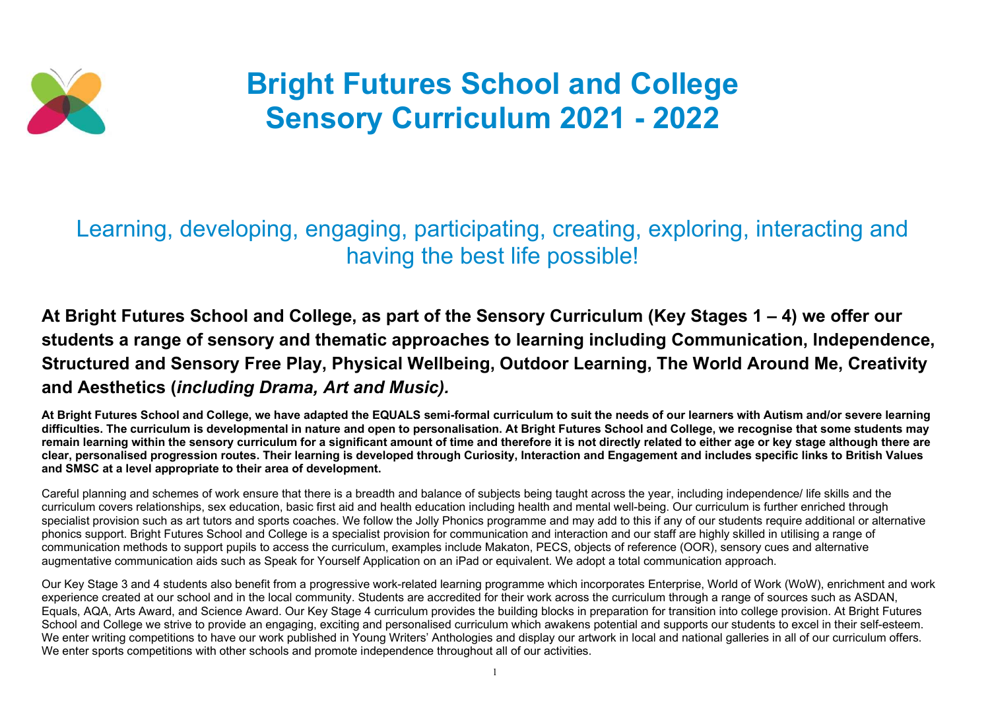

## Bright Futures School and College Sensory Curriculum 2021 - 2022

## Learning, developing, engaging, participating, creating, exploring, interacting and having the best life possible!

### At Bright Futures School and College, as part of the Sensory Curriculum (Key Stages 1 – 4) we offer our students a range of sensory and thematic approaches to learning including Communication, Independence, Structured and Sensory Free Play, Physical Wellbeing, Outdoor Learning, The World Around Me, Creativity and Aesthetics (including Drama, Art and Music).

At Bright Futures School and College, we have adapted the EQUALS semi-formal curriculum to suit the needs of our learners with Autism and/or severe learning difficulties. The curriculum is developmental in nature and open to personalisation. At Bright Futures School and College, we recognise that some students may remain learning within the sensory curriculum for a significant amount of time and therefore it is not directly related to either age or key stage although there are clear, personalised progression routes. Their learning is developed through Curiosity, Interaction and Engagement and includes specific links to British Values and SMSC at a level appropriate to their area of development.

Our Key Stage 3 and 4 students also benefit from a progressive work-related learning programme which incorporates Enterprise, World of Work (WoW), enrichment and work experience created at our school and in the local community. Students are accredited for their work across the curriculum through a range of sources such as ASDAN, Equals, AQA, Arts Award, and Science Award. Our Key Stage 4 curriculum provides the building blocks in preparation for transition into college provision. At Bright Futures School and College we strive to provide an engaging, exciting and personalised curriculum which awakens potential and supports our students to excel in their self-esteem. We enter writing competitions to have our work published in Young Writers' Anthologies and display our artwork in local and national galleries in all of our curriculum offers. We enter sports competitions with other schools and promote independence throughout all of our activities.

Careful planning and schemes of work ensure that there is a breadth and balance of subjects being taught across the year, including independence/ life skills and the curriculum covers relationships, sex education, basic first aid and health education including health and mental well-being. Our curriculum is further enriched through specialist provision such as art tutors and sports coaches. We follow the Jolly Phonics programme and may add to this if any of our students require additional or alternative phonics support. Bright Futures School and College is a specialist provision for communication and interaction and our staff are highly skilled in utilising a range of communication methods to support pupils to access the curriculum, examples include Makaton, PECS, objects of reference (OOR), sensory cues and alternative augmentative communication aids such as Speak for Yourself Application on an iPad or equivalent. We adopt a total communication approach.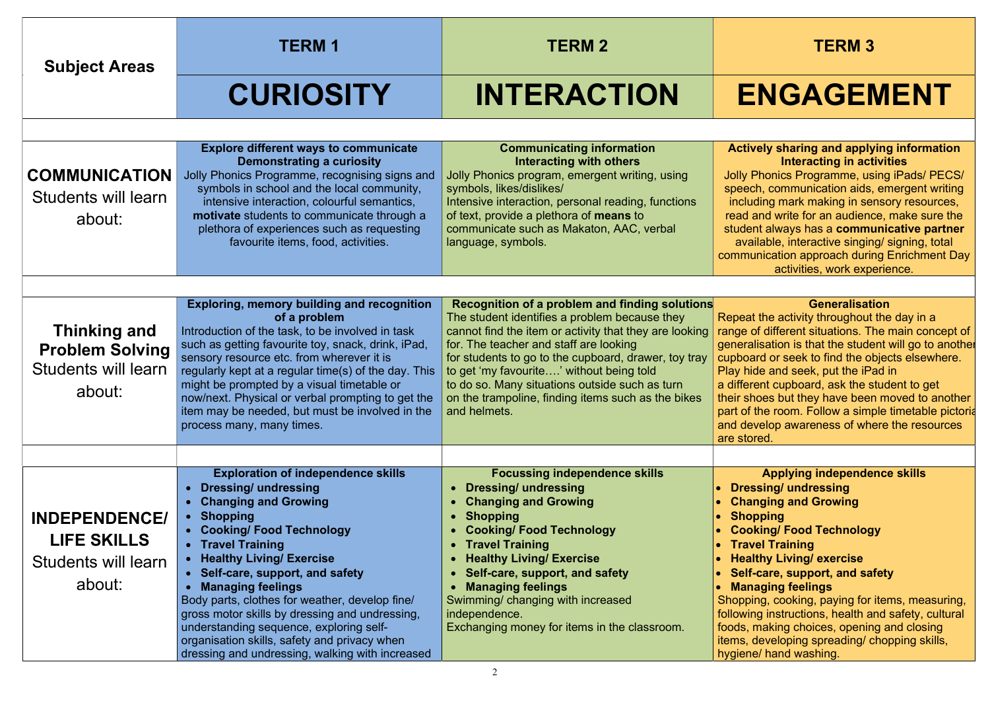# ENGAGEMENT

#### tively sharing and applying information Interacting in activities

V Phonics Programme, using iPads/ PECS/ ech, communication aids, emergent writing luding mark making in sensory resources, d and write for an audience, make sure the lent always has a communicative partner vailable, interactive singing/ signing, total nunication approach during Enrichment Day activities, work experience.

#### **Generalisation**

at the activity throughout the day in a e of different situations. The main concept of ralisation is that the student will go to another oard or seek to find the objects elsewhere. hide and seek, put the iPad in erent cupboard, ask the student to get shoes but they have been moved to another of the room. Follow a simple timetable pictoria develop awareness of where the resources tored.

Applying independence skills essing/ undressing anging and Growing opping oking/ Food Technology avel Training althy Living/ exercise If-care, support, and safety anaging feelings ping, cooking, paying for items, measuring, ving instructions, health and safety, cultural , making choices, opening and closing , developing spreading/ chopping skills, ne/ hand washing.

| <b>Subject Areas</b>                                                                  | <b>TERM1</b>                                                                                                                                                                                                                                                                                                                                                                                                                                                                                                                                                         | <b>TERM 2</b>                                                                                                                                                                                                                                                                                                                                                                                                                   | <b>TERM 3</b>                                                                                                                                                                                                                                                                                                                                                                                                                                  |
|---------------------------------------------------------------------------------------|----------------------------------------------------------------------------------------------------------------------------------------------------------------------------------------------------------------------------------------------------------------------------------------------------------------------------------------------------------------------------------------------------------------------------------------------------------------------------------------------------------------------------------------------------------------------|---------------------------------------------------------------------------------------------------------------------------------------------------------------------------------------------------------------------------------------------------------------------------------------------------------------------------------------------------------------------------------------------------------------------------------|------------------------------------------------------------------------------------------------------------------------------------------------------------------------------------------------------------------------------------------------------------------------------------------------------------------------------------------------------------------------------------------------------------------------------------------------|
|                                                                                       | <b>CURIOSITY</b>                                                                                                                                                                                                                                                                                                                                                                                                                                                                                                                                                     | <b>INTERACTION</b>                                                                                                                                                                                                                                                                                                                                                                                                              | <b>ENGAGEN</b>                                                                                                                                                                                                                                                                                                                                                                                                                                 |
| <b>COMMUNICATION</b><br>Students will learn<br>about:                                 | <b>Explore different ways to communicate</b><br><b>Demonstrating a curiosity</b><br>Jolly Phonics Programme, recognising signs and<br>symbols in school and the local community,<br>intensive interaction, colourful semantics,<br>motivate students to communicate through a<br>plethora of experiences such as requesting<br>favourite items, food, activities.                                                                                                                                                                                                    | <b>Communicating information</b><br><b>Interacting with others</b><br>Jolly Phonics program, emergent writing, using<br>symbols, likes/dislikes/<br>Intensive interaction, personal reading, functions<br>of text, provide a plethora of <b>means</b> to<br>communicate such as Makaton, AAC, verbal<br>language, symbols.                                                                                                      | <b>Actively sharing and applyi</b><br><b>Interacting in activ</b><br>Jolly Phonics Programme, usi<br>speech, communication aids,<br>including mark making in sen<br>read and write for an audience<br>student always has a commul<br>available, interactive singing<br>communication approach during<br>activities, work expe                                                                                                                  |
| <b>Thinking and</b><br><b>Problem Solving</b><br><b>Students will learn</b><br>about: | <b>Exploring, memory building and recognition</b><br>of a problem<br>Introduction of the task, to be involved in task<br>such as getting favourite toy, snack, drink, iPad,<br>sensory resource etc. from wherever it is<br>regularly kept at a regular time(s) of the day. This<br>might be prompted by a visual timetable or<br>now/next. Physical or verbal prompting to get the<br>item may be needed, but must be involved in the<br>process many, many times.                                                                                                  | Recognition of a problem and finding solutions<br>The student identifies a problem because they<br>cannot find the item or activity that they are looking<br>for. The teacher and staff are looking<br>for students to go to the cupboard, drawer, toy tray<br>to get 'my favourite' without being told<br>to do so. Many situations outside such as turn<br>on the trampoline, finding items such as the bikes<br>and helmets. | <b>Generalisatio</b><br>Repeat the activity throughout t<br>range of different situations. The<br>generalisation is that the studer<br>cupboard or seek to find the obj<br>Play hide and seek, put the iPa<br>a different cupboard, ask the stu<br>their shoes but they have been<br>part of the room. Follow a simpl<br>and develop awareness of where<br>are stored.                                                                         |
| <b>INDEPENDENCE/</b><br><b>LIFE SKILLS</b><br>Students will learn<br>about:           | <b>Exploration of independence skills</b><br><b>Dressing/ undressing</b><br>$\bullet$<br><b>Changing and Growing</b><br>$\bullet$<br><b>Shopping</b><br>$\bullet$<br>• Cooking/ Food Technology<br>• Travel Training<br>• Healthy Living/ Exercise<br>• Self-care, support, and safety<br><b>Managing feelings</b><br>Body parts, clothes for weather, develop fine/<br>gross motor skills by dressing and undressing,<br>understanding sequence, exploring self-<br>organisation skills, safety and privacy when<br>dressing and undressing, walking with increased | <b>Focussing independence skills</b><br><b>Dressing/ undressing</b><br><b>Changing and Growing</b><br><b>Shopping</b><br><b>Cooking/Food Technology</b><br><b>Travel Training</b><br><b>Healthy Living/ Exercise</b><br>Self-care, support, and safety<br><b>Managing feelings</b><br>Swimming/ changing with increased<br>independence.<br>Exchanging money for items in the classroom.                                        | <b>Applying independen</b><br><b>Dressing/ undressing</b><br><b>Changing and Growing</b><br><b>Shopping</b><br><b>Cooking/ Food Technology</b><br><b>Travel Training</b><br><b>Healthy Living/ exercise</b><br>Self-care, support, and safe<br><b>Managing feelings</b><br>Shopping, cooking, paying for it<br>following instructions, health an<br>foods, making choices, opening<br>items, developing spreading/ch<br>hygiene/ hand washing. |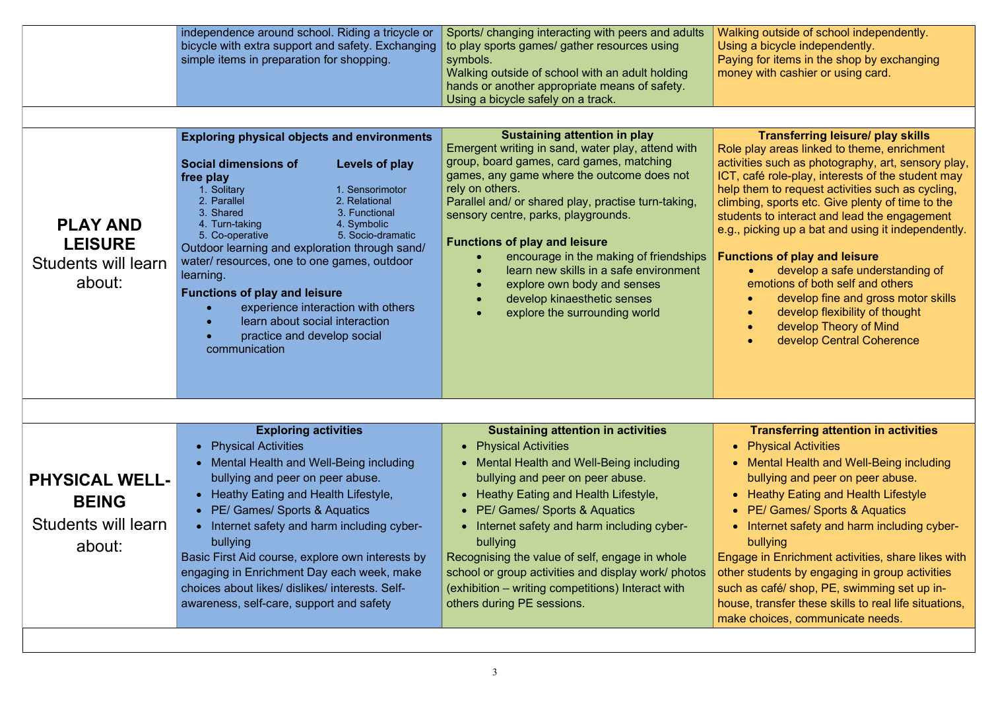g outside of school independently. a bicycle independently. If or items in the shop by exchanging with cashier or using card.

|                                                                        | independence around school. Riding a tricycle or<br>bicycle with extra support and safety. Exchanging<br>simple items in preparation for shopping.                                                                                                                                                                                                                                                                                                                                                                                                                                   | Sports/ changing interacting with peers and adults<br>to play sports games/ gather resources using<br>symbols.<br>Walking outside of school with an adult holding<br>hands or another appropriate means of safety.<br>Using a bicycle safely on a track.                                                                                                                                                                                                                                                                       | <b>Walkin</b><br><b>Using</b><br>Paying<br>money                                                        |
|------------------------------------------------------------------------|--------------------------------------------------------------------------------------------------------------------------------------------------------------------------------------------------------------------------------------------------------------------------------------------------------------------------------------------------------------------------------------------------------------------------------------------------------------------------------------------------------------------------------------------------------------------------------------|--------------------------------------------------------------------------------------------------------------------------------------------------------------------------------------------------------------------------------------------------------------------------------------------------------------------------------------------------------------------------------------------------------------------------------------------------------------------------------------------------------------------------------|---------------------------------------------------------------------------------------------------------|
| <b>PLAY AND</b><br><b>LEISURE</b><br>Students will learn<br>about:     | <b>Exploring physical objects and environments</b><br><b>Social dimensions of</b><br>Levels of play<br>free play<br>1. Sensorimotor<br>1. Solitary<br>2. Parallel<br>2. Relational<br>3. Shared<br>3. Functional<br>4. Turn-taking<br>4. Symbolic<br>5. Socio-dramatic<br>5. Co-operative<br>Outdoor learning and exploration through sand/<br>water/ resources, one to one games, outdoor<br>learning.<br><b>Functions of play and leisure</b><br>experience interaction with others<br>learn about social interaction<br>$\bullet$<br>practice and develop social<br>communication | <b>Sustaining attention in play</b><br>Emergent writing in sand, water play, attend with<br>group, board games, card games, matching<br>games, any game where the outcome does not<br>rely on others.<br>Parallel and/ or shared play, practise turn-taking,<br>sensory centre, parks, playgrounds.<br><b>Functions of play and leisure</b><br>encourage in the making of friendships<br>learn new skills in a safe environment<br>explore own body and senses<br>develop kinaesthetic senses<br>explore the surrounding world | Role p<br>activitie<br>ICT, ca<br>help th<br>climbir<br>studen<br>e.g., pi<br><b>Functi</b>             |
| <b>PHYSICAL WELL-</b><br><b>BEING</b><br>Students will learn<br>about: | <b>Exploring activities</b><br><b>Physical Activities</b><br>Mental Health and Well-Being including<br>bullying and peer on peer abuse.<br>Heathy Eating and Health Lifestyle,<br>• PE/ Games/ Sports & Aquatics<br>Internet safety and harm including cyber-<br>bullying<br>Basic First Aid course, explore own interests by<br>engaging in Enrichment Day each week, make<br>choices about likes/ dislikes/ interests. Self-<br>awareness, self-care, support and safety                                                                                                           | <b>Sustaining attention in activities</b><br><b>Physical Activities</b><br>Mental Health and Well-Being including<br>bullying and peer on peer abuse.<br>Heathy Eating and Health Lifestyle,<br>PE/ Games/ Sports & Aquatics<br>Internet safety and harm including cyber-<br>bullying<br>Recognising the value of self, engage in whole<br>school or group activities and display work/ photos<br>(exhibition – writing competitions) Interact with<br>others during PE sessions.                                              | $\bullet$ F<br>t<br>$\bullet$ $\vdash$<br>$\bullet$ F<br>Engag<br>other s<br>such a<br>house,<br>make o |

#### Transferring leisure/ play skills

lay areas linked to theme, enrichment  $\overline{\text{e}}\text{s}$  such as photography, art, sensory play, afé role-play, interests of the student may  $n$ em to request activities such as cycling, ng, sports etc. Give plenty of time to the its to interact and lead the engagement icking up a bat and using it independently.

#### ions of play and leisure

 develop a safe understanding of emotions of both self and others

- develop fine and gross motor skills
- develop flexibility of thought
- develop Theory of Mind
- develop Central Coherence

#### Transferring attention in activities

Physical Activities

- Mental Health and Well-Being including
- bullying and peer on peer abuse.
- Heathy Eating and Health Lifestyle
- PE/ Games/ Sports & Aquatics
- nternet safety and harm including cyberbullying

e in Enrichment activities, share likes with students by engaging in group activities s café/ shop, PE, swimming set up intransfer these skills to real life situations, choices, communicate needs.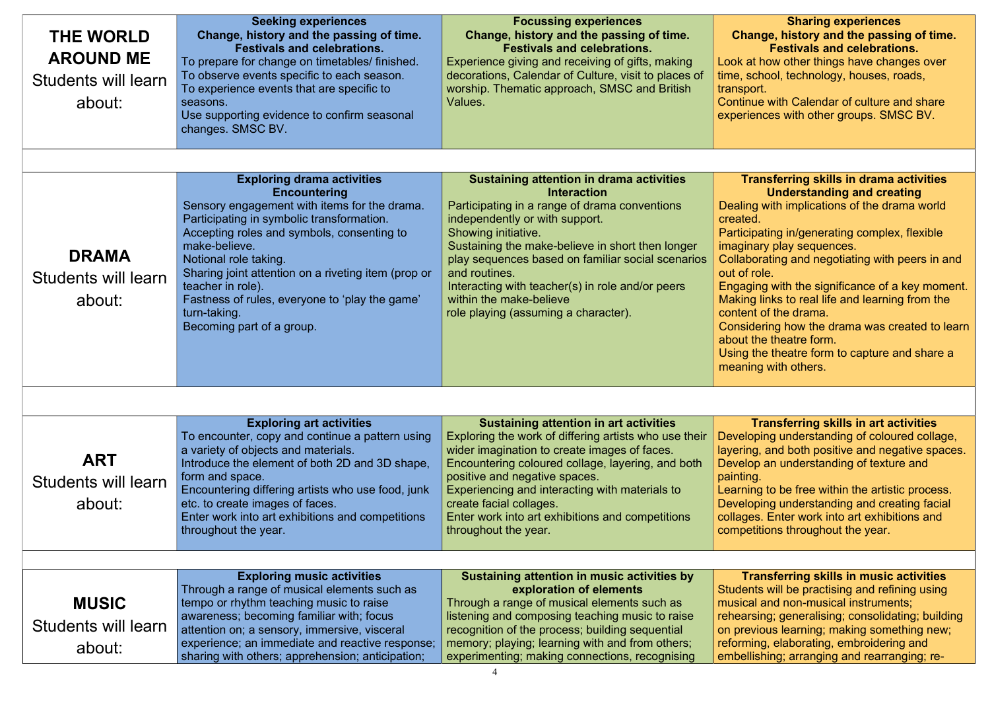#### Sharing experiences ange, history and the passing of time. Festivals and celebrations.

at how other things have changes over school, technology, houses, roads, ort.

nue with Calendar of culture and share iences with other groups. SMSC BV.

#### ransferring skills in drama activities Understanding and creating

ng with implications of the drama world d.

ipating in/generating complex, flexible nary play sequences.

oorating and negotiating with peers in and role.

ging with the significance of a key moment. ig links to real life and learning from the nt of the drama.

idering how the drama was created to learn the theatre form.

the theatre form to capture and share a ing with others.

Transferring skills in art activities oping understanding of coloured collage, ng, and both positive and negative spaces. op an understanding of texture and ig.

ing to be free within the artistic process. oping understanding and creating facial es. Enter work into art exhibitions and etitions throughout the year.

#### **Transferring skills in music activities** nts will be practising and refining using al and non-musical instruments; rsing; generalising; consolidating; building vious learning; making something new; ning, elaborating, embroidering and llishing; arranging and rearranging; re-

| <b>THE WORLD</b><br><b>AROUND ME</b><br>Students will learn<br>about: | <b>Seeking experiences</b><br>Change, history and the passing of time.<br><b>Festivals and celebrations.</b><br>To prepare for change on timetables/ finished.<br>To observe events specific to each season.<br>To experience events that are specific to<br>seasons.<br>Use supporting evidence to confirm seasonal<br>changes. SMSC BV.                                                                                | <b>Focussing experiences</b><br>Change, history and the passing of time.<br><b>Festivals and celebrations.</b><br>Experience giving and receiving of gifts, making<br>decorations, Calendar of Culture, visit to places of<br>worship. Thematic approach, SMSC and British<br>Values.                                                                                                                                            | Cha<br>Look a<br>time, s<br>transp<br>Contin<br>experi                                                                                                           |
|-----------------------------------------------------------------------|--------------------------------------------------------------------------------------------------------------------------------------------------------------------------------------------------------------------------------------------------------------------------------------------------------------------------------------------------------------------------------------------------------------------------|----------------------------------------------------------------------------------------------------------------------------------------------------------------------------------------------------------------------------------------------------------------------------------------------------------------------------------------------------------------------------------------------------------------------------------|------------------------------------------------------------------------------------------------------------------------------------------------------------------|
| <b>DRAMA</b><br>Students will learn<br>about:                         | <b>Exploring drama activities</b><br><b>Encountering</b><br>Sensory engagement with items for the drama.<br>Participating in symbolic transformation.<br>Accepting roles and symbols, consenting to<br>make-believe.<br>Notional role taking.<br>Sharing joint attention on a riveting item (prop or<br>teacher in role).<br>Fastness of rules, everyone to 'play the game'<br>turn-taking.<br>Becoming part of a group. | <b>Sustaining attention in drama activities</b><br><b>Interaction</b><br>Participating in a range of drama conventions<br>independently or with support.<br>Showing initiative.<br>Sustaining the make-believe in short then longer<br>play sequences based on familiar social scenarios<br>and routines.<br>Interacting with teacher(s) in role and/or peers<br>within the make-believe<br>role playing (assuming a character). | T <sub>1</sub><br><b>Dealir</b><br>create<br>Partici<br>imagir<br><b>Collab</b><br>out of<br>Engag<br><b>Makin</b><br>conter<br>Consi<br>about<br>Using<br>meani |
| <b>ART</b><br>Students will learn<br>about:                           | <b>Exploring art activities</b><br>To encounter, copy and continue a pattern using<br>a variety of objects and materials.<br>Introduce the element of both 2D and 3D shape,<br>form and space.<br>Encountering differing artists who use food, junk<br>etc. to create images of faces.<br>Enter work into art exhibitions and competitions<br>throughout the year.                                                       | <b>Sustaining attention in art activities</b><br>Exploring the work of differing artists who use their<br>wider imagination to create images of faces.<br>Encountering coloured collage, layering, and both<br>positive and negative spaces.<br>Experiencing and interacting with materials to<br>create facial collages.<br>Enter work into art exhibitions and competitions<br>throughout the year.                            | Devel<br>layerir<br><b>Devel</b><br>paintir<br>Learni<br><b>Develo</b><br>collage<br>compe                                                                       |
| <b>MUSIC</b><br>Students will learn<br>about:                         | <b>Exploring music activities</b><br>Through a range of musical elements such as<br>tempo or rhythm teaching music to raise<br>awareness; becoming familiar with; focus<br>attention on; a sensory, immersive, visceral<br>experience; an immediate and reactive response;<br>sharing with others; apprehension; anticipation;                                                                                           | Sustaining attention in music activities by<br>exploration of elements<br>Through a range of musical elements such as<br>listening and composing teaching music to raise<br>recognition of the process; building sequential<br>memory; playing; learning with and from others;<br>experimenting; making connections, recognising                                                                                                 | $\mathsf{T}$<br><b>Studer</b><br>music<br>rehear<br>on pre<br>reform<br>embel                                                                                    |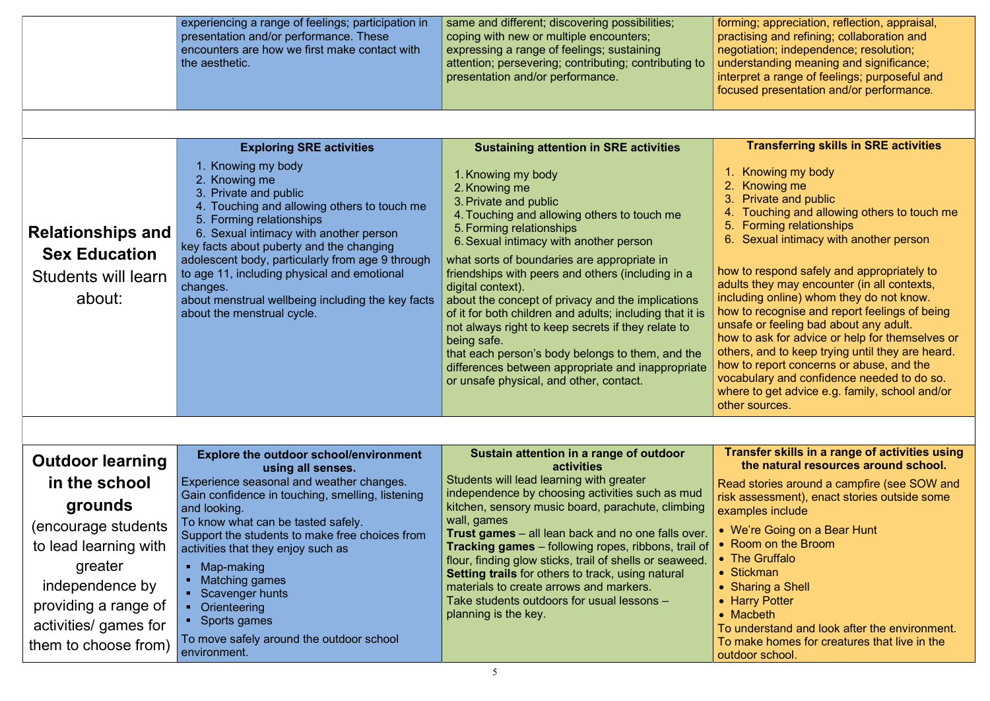ng; appreciation, reflection, appraisal, ising and refining; collaboration and tiation; independence; resolution; rstanding meaning and significance; oret a range of feelings; purposeful and ed presentation and/or performance.

#### Transferring skills in SRE activities

Knowing my body

- Knowing me
- Private and public
- Touching and allowing others to touch me
- Forming relationships
- Sexual intimacy with another person

to respond safely and appropriately to s they may encounter (in all contexts, ding online) whom they do not know. to recognise and report feelings of being fe or feeling bad about any adult. to ask for advice or help for themselves or s, and to keep trying until they are heard. to report concerns or abuse, and the bulary and confidence needed to do so. e to get advice e.g. family, school and/or sources.

#### nsfer skills in a range of activities using the natural resources around school.

|                                                                                   | experiencing a range of feelings; participation in<br>presentation and/or performance. These<br>encounters are how we first make contact with<br>the aesthetic.                                                                                                                                                                                                                                                                 | same and different; discovering possibilities;<br>coping with new or multiple encounters;<br>expressing a range of feelings; sustaining<br>attention; persevering; contributing; contributing to<br>presentation and/or performance.                                                                                                                                                                                                                                                                                                                                                                                                                 | formir<br>practi<br>negot<br>under<br>interp<br>focus                                                                                             |
|-----------------------------------------------------------------------------------|---------------------------------------------------------------------------------------------------------------------------------------------------------------------------------------------------------------------------------------------------------------------------------------------------------------------------------------------------------------------------------------------------------------------------------|------------------------------------------------------------------------------------------------------------------------------------------------------------------------------------------------------------------------------------------------------------------------------------------------------------------------------------------------------------------------------------------------------------------------------------------------------------------------------------------------------------------------------------------------------------------------------------------------------------------------------------------------------|---------------------------------------------------------------------------------------------------------------------------------------------------|
|                                                                                   | <b>Exploring SRE activities</b>                                                                                                                                                                                                                                                                                                                                                                                                 | <b>Sustaining attention in SRE activities</b>                                                                                                                                                                                                                                                                                                                                                                                                                                                                                                                                                                                                        |                                                                                                                                                   |
| <b>Relationships and</b><br><b>Sex Education</b><br>Students will learn<br>about: | 1. Knowing my body<br>2. Knowing me<br>3. Private and public<br>4. Touching and allowing others to touch me<br>5. Forming relationships<br>6. Sexual intimacy with another person<br>key facts about puberty and the changing<br>adolescent body, particularly from age 9 through<br>to age 11, including physical and emotional<br>changes.<br>about menstrual wellbeing including the key facts<br>about the menstrual cycle. | 1. Knowing my body<br>2. Knowing me<br>3. Private and public<br>4. Touching and allowing others to touch me<br>5. Forming relationships<br>6. Sexual intimacy with another person<br>what sorts of boundaries are appropriate in<br>friendships with peers and others (including in a<br>digital context).<br>about the concept of privacy and the implications<br>of it for both children and adults; including that it is<br>not always right to keep secrets if they relate to<br>being safe.<br>that each person's body belongs to them, and the<br>differences between appropriate and inappropriate<br>or unsafe physical, and other, contact. | 1. k<br>2. k<br>3. F<br>4. ]<br>5. F<br>6.5<br>how t<br>adults<br>incluc<br>how t<br>unsaf<br>how t<br>others<br>how t<br>vocab<br>where<br>other |
|                                                                                   | <b>Explore the outdoor school/environment</b>                                                                                                                                                                                                                                                                                                                                                                                   | Sustain attention in a range of outdoor                                                                                                                                                                                                                                                                                                                                                                                                                                                                                                                                                                                                              | <b>Trar</b>                                                                                                                                       |
| <b>Outdoor learning</b>                                                           | using all senses.                                                                                                                                                                                                                                                                                                                                                                                                               | <b>activities</b><br>Students will lead learning with greater                                                                                                                                                                                                                                                                                                                                                                                                                                                                                                                                                                                        |                                                                                                                                                   |
| in the school                                                                     | Experience seasonal and weather changes.<br>Gain confidence in touching, smelling, listening                                                                                                                                                                                                                                                                                                                                    | independence by choosing activities such as mud                                                                                                                                                                                                                                                                                                                                                                                                                                                                                                                                                                                                      | <b>Read</b><br>risk a                                                                                                                             |
| grounds                                                                           | and looking.<br>To know what can be tasted safely.                                                                                                                                                                                                                                                                                                                                                                              | kitchen, sensory music board, parachute, climbing<br>wall, games                                                                                                                                                                                                                                                                                                                                                                                                                                                                                                                                                                                     | exam                                                                                                                                              |
| (encourage students<br>to lead learning with                                      | Support the students to make free choices from                                                                                                                                                                                                                                                                                                                                                                                  | <b>Trust games</b> – all lean back and no one falls over.                                                                                                                                                                                                                                                                                                                                                                                                                                                                                                                                                                                            | $\bullet$ We<br>$\bullet$ Ro                                                                                                                      |
| greater                                                                           | activities that they enjoy such as<br>Map-making<br>$\blacksquare$                                                                                                                                                                                                                                                                                                                                                              | <b>Tracking games</b> – following ropes, ribbons, trail of<br>flour, finding glow sticks, trail of shells or seaweed.                                                                                                                                                                                                                                                                                                                                                                                                                                                                                                                                | $\bullet$ The                                                                                                                                     |
| independence by                                                                   | <b>Matching games</b>                                                                                                                                                                                                                                                                                                                                                                                                           | <b>Setting trails</b> for others to track, using natural<br>materials to create arrows and markers.                                                                                                                                                                                                                                                                                                                                                                                                                                                                                                                                                  | • Stio<br>$\bullet$ Sha                                                                                                                           |
| providing a range of                                                              | Scavenger hunts<br>Orienteering                                                                                                                                                                                                                                                                                                                                                                                                 | Take students outdoors for usual lessons -                                                                                                                                                                                                                                                                                                                                                                                                                                                                                                                                                                                                           | $\bullet$ Ha                                                                                                                                      |
| activities/ games for                                                             | Sports games                                                                                                                                                                                                                                                                                                                                                                                                                    | planning is the key.                                                                                                                                                                                                                                                                                                                                                                                                                                                                                                                                                                                                                                 | $\bullet$ Ma<br>To un                                                                                                                             |
| them to choose from)                                                              | To move safely around the outdoor school<br>environment.                                                                                                                                                                                                                                                                                                                                                                        |                                                                                                                                                                                                                                                                                                                                                                                                                                                                                                                                                                                                                                                      | To ma<br>outdo                                                                                                                                    |

I stories around a campfire (see SOW and refers assessment), enact stories outside some ples include

e're Going on a Bear Hunt om on the Broom e Gruffalo ckman aring a Shell **Irry Potter** 

acheth

Iderstand and look after the environment. ake homes for creatures that live in the or school.